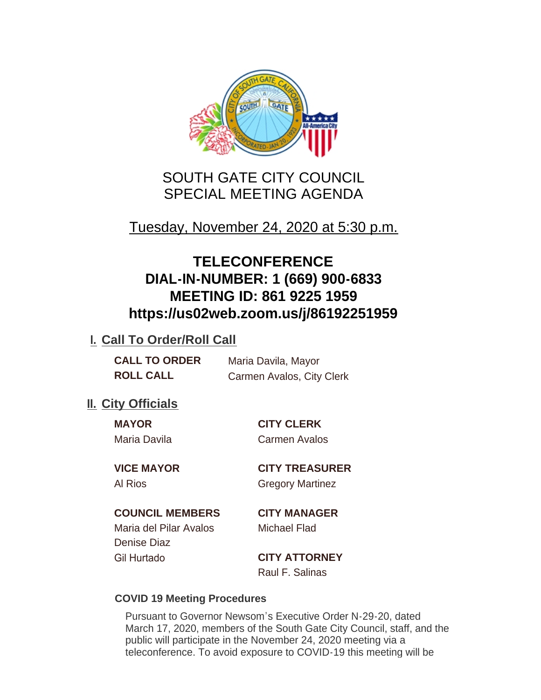

# SOUTH GATE CITY COUNCIL SPECIAL MEETING AGENDA

# Tuesday, November 24, 2020 at 5:30 p.m.

# **TELECONFERENCE DIAL-IN-NUMBER: 1 (669) 900-6833 MEETING ID: 861 9225 1959 https://us02web.zoom.us/j/86192251959**

## **I. Call To Order/Roll Call**

| <b>CALL TO ORDER</b> | Maria Davila, Mayor       |
|----------------------|---------------------------|
| <b>ROLL CALL</b>     | Carmen Avalos, City Clerk |

## **II.** City Officials

**MAYOR CITY CLERK** Maria Davila Carmen Avalos

**VICE MAYOR CITY TREASURER** Al Rios Gregory Martinez

### **COUNCIL MEMBERS CITY MANAGER**

Maria del Pilar Avalos Michael Flad Denise Diaz Gil Hurtado **CITY ATTORNEY**

Raul F. Salinas

### **COVID 19 Meeting Procedures**

Pursuant to Governor Newsom's Executive Order N-29-20, dated March 17, 2020, members of the South Gate City Council, staff, and the public will participate in the November 24, 2020 meeting via a teleconference. To avoid exposure to COVID-19 this meeting will be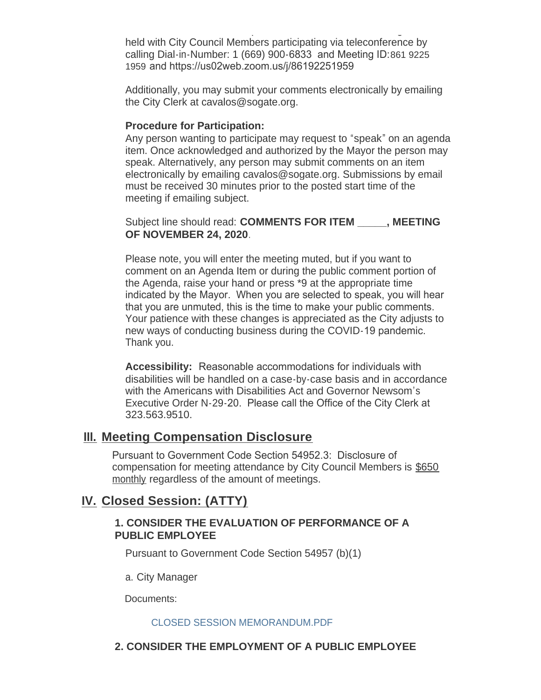teleconference. To avoid exposure to COVID-19 this meeting will be held with City Council Members participating via teleconference by calling Dial-in-Number: 1 (669) 900-6833 and Meeting ID:861 9225 1959 and https://us02web.zoom.us/j/86192251959

Additionally, you may submit your comments electronically by emailing the City Clerk at cavalos@sogate.org.

#### **Procedure for Participation:**

Any person wanting to participate may request to "speak" on an agenda item. Once acknowledged and authorized by the Mayor the person may speak. Alternatively, any person may submit comments on an item electronically by emailing cavalos@sogate.org. Submissions by email must be received 30 minutes prior to the posted start time of the meeting if emailing subject.

Subject line should read: **COMMENTS FOR ITEM \_\_\_\_\_, MEETING OF NOVEMBER 24, 2020**.

Please note, you will enter the meeting muted, but if you want to comment on an Agenda Item or during the public comment portion of the Agenda, raise your hand or press \*9 at the appropriate time indicated by the Mayor. When you are selected to speak, you will hear that you are unmuted, this is the time to make your public comments. Your patience with these changes is appreciated as the City adjusts to new ways of conducting business during the COVID-19 pandemic. Thank you.

**Accessibility:** Reasonable accommodations for individuals with disabilities will be handled on a case-by-case basis and in accordance with the Americans with Disabilities Act and Governor Newsom's Executive Order N-29-20. Please call the Office of the City Clerk at 323.563.9510.

## **Meeting Compensation Disclosure III.**

Pursuant to Government Code Section 54952.3: Disclosure of compensation for meeting attendance by City Council Members is \$650 monthly regardless of the amount of meetings.

## **Closed Session: (ATTY) IV.**

#### **1. CONSIDER THE EVALUATION OF PERFORMANCE OF A PUBLIC EMPLOYEE**

Pursuant to Government Code Section 54957 (b)(1)

a. City Manager

Documents:

#### CLOSED SESSION MEMORANDUM.PDF

#### **2. CONSIDER THE EMPLOYMENT OF A PUBLIC EMPLOYEE**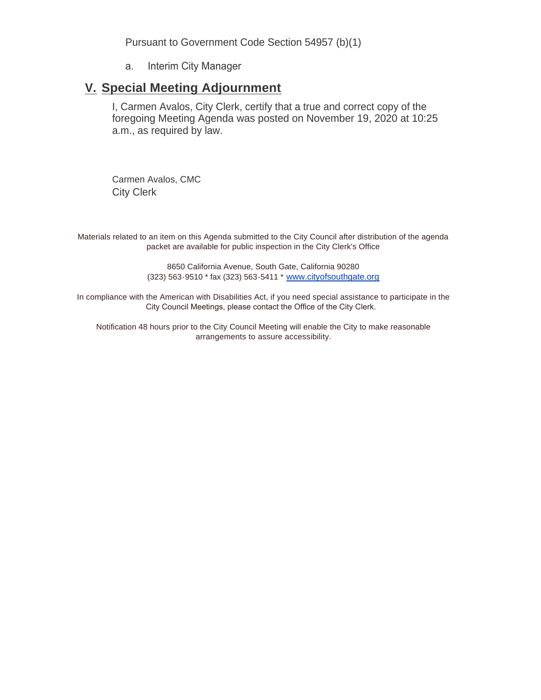Pursuant to Government Code Section 54957 (b)(1)

a. Interim City Manager

## **Special Meeting Adjournment V.**

I, Carmen Avalos, City Clerk, certify that a true and correct copy of the foregoing Meeting Agenda was posted on November 19, 2020 at 10:25 a.m., as required by law.

Carmen Avalos, CMC City Clerk

Materials related to an item on this Agenda submitted to the City Council after distribution of the agenda packet are available for public inspection in the City Clerk's Office

> 8650 California Avenue, South Gate, California 90280 (323) 563-9510 \* fax (323) 563-5411 \* [www.cityofsouthgate.org](http://www.cityofsouthgate.org/)

In compliance with the American with Disabilities Act, if you need special assistance to participate in the City Council Meetings, please contact the Office of the City Clerk.

Notification 48 hours prior to the City Council Meeting will enable the City to make reasonable arrangements to assure accessibility.